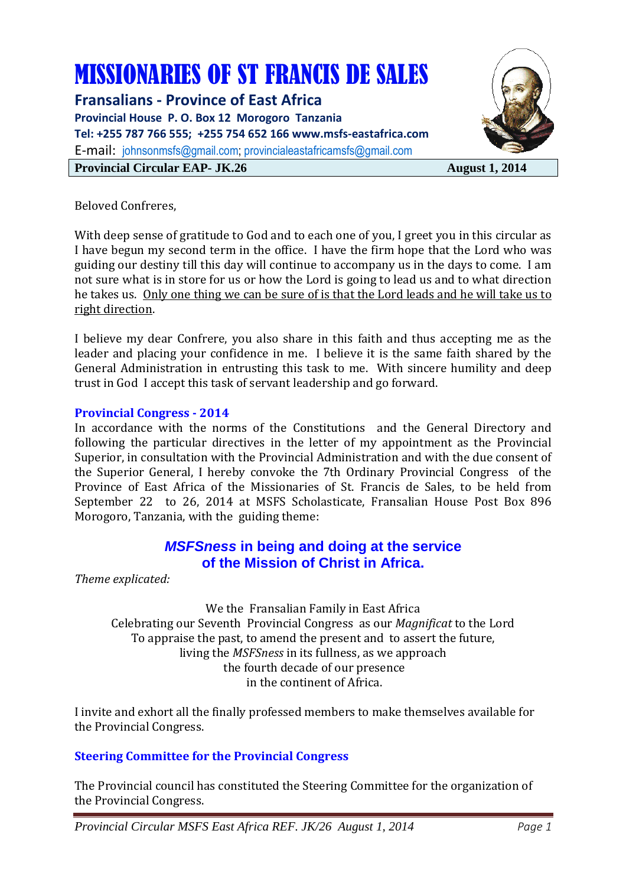# MISSIONARIES OF ST FRANCIS DE SALES

**Fransalians - Province of East Africa Provincial House P. O. Box 12 Morogoro Tanzania Tel: +255 787 766 555; +255 754 652 166 www.msfs-eastafrica.com**  E-mail: johnsonmsfs@gmail.com; provincialeastafricamsfs@gmail.com **Provincial Circular EAP- JK.26** August 1, 2014



Beloved Confreres,

With deep sense of gratitude to God and to each one of you, I greet you in this circular as I have begun my second term in the office. I have the firm hope that the Lord who was guiding our destiny till this day will continue to accompany us in the days to come. I am not sure what is in store for us or how the Lord is going to lead us and to what direction he takes us. Only one thing we can be sure of is that the Lord leads and he will take us to right direction.

I believe my dear Confrere, you also share in this faith and thus accepting me as the leader and placing your confidence in me. I believe it is the same faith shared by the General Administration in entrusting this task to me. With sincere humility and deep trust in God I accept this task of servant leadership and go forward.

## **Provincial Congress - 2014**

In accordance with the norms of the Constitutions and the General Directory and following the particular directives in the letter of my appointment as the Provincial Superior, in consultation with the Provincial Administration and with the due consent of the Superior General, I hereby convoke the 7th Ordinary Provincial Congress of the Province of East Africa of the Missionaries of St. Francis de Sales, to be held from September 22 to 26, 2014 at MSFS Scholasticate, Fransalian House Post Box 896 Morogoro, Tanzania, with the guiding theme:

## **MSFSness in being and doing at the service of the Mission of Christ in Africa.**

*Theme explicated:* 

We the Fransalian Family in East Africa Celebrating our Seventh Provincial Congress as our *Magnificat* to the Lord To appraise the past, to amend the present and to assert the future, living the *MSFSness* in its fullness, as we approach the fourth decade of our presence in the continent of Africa.

I invite and exhort all the finally professed members to make themselves available for the Provincial Congress.

## **Steering Committee for the Provincial Congress**

The Provincial council has constituted the Steering Committee for the organization of the Provincial Congress.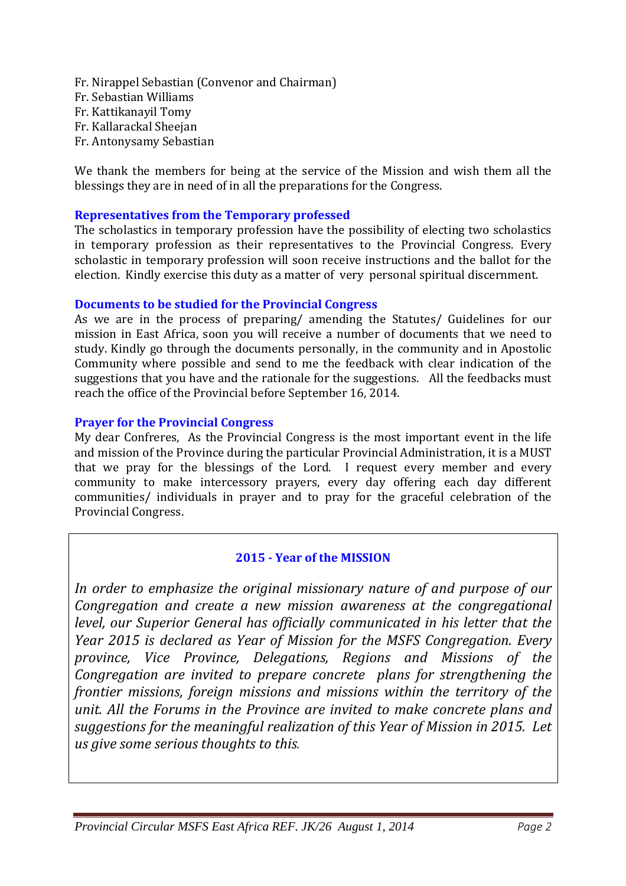Fr. Nirappel Sebastian (Convenor and Chairman) Fr. Sebastian Williams Fr. Kattikanayil Tomy Fr. Kallarackal Sheejan Fr. Antonysamy Sebastian

We thank the members for being at the service of the Mission and wish them all the blessings they are in need of in all the preparations for the Congress.

## **Representatives from the Temporary professed**

The scholastics in temporary profession have the possibility of electing two scholastics in temporary profession as their representatives to the Provincial Congress. Every scholastic in temporary profession will soon receive instructions and the ballot for the election. Kindly exercise this duty as a matter of very personal spiritual discernment.

## **Documents to be studied for the Provincial Congress**

As we are in the process of preparing/ amending the Statutes/ Guidelines for our mission in East Africa, soon you will receive a number of documents that we need to study. Kindly go through the documents personally, in the community and in Apostolic Community where possible and send to me the feedback with clear indication of the suggestions that you have and the rationale for the suggestions. All the feedbacks must reach the office of the Provincial before September 16, 2014.

## **Prayer for the Provincial Congress**

My dear Confreres, As the Provincial Congress is the most important event in the life and mission of the Province during the particular Provincial Administration, it is a MUST that we pray for the blessings of the Lord. I request every member and every community to make intercessory prayers, every day offering each day different communities/ individuals in prayer and to pray for the graceful celebration of the Provincial Congress.

## **2015 - Year of the MISSION**

*In order to emphasize the original missionary nature of and purpose of our Congregation and create a new mission awareness at the congregational level, our Superior General has officially communicated in his letter that the Year 2015 is declared as Year of Mission for the MSFS Congregation. Every province, Vice Province, Delegations, Regions and Missions of the Congregation are invited to prepare concrete plans for strengthening the frontier missions, foreign missions and missions within the territory of the unit. All the Forums in the Province are invited to make concrete plans and suggestions for the meaningful realization of this Year of Mission in 2015. Let us give some serious thoughts to this.*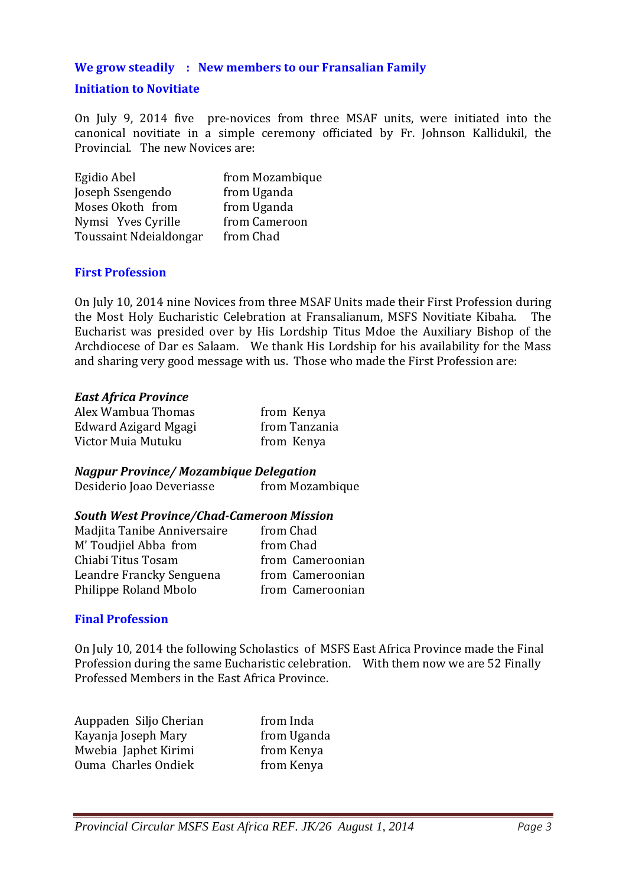## **We grow steadily : New members to our Fransalian Family**

## **Initiation to Novitiate**

On July 9, 2014 five pre-novices from three MSAF units, were initiated into the canonical novitiate in a simple ceremony officiated by Fr. Johnson Kallidukil, the Provincial. The new Novices are:

| Egidio Abel            | from Mozambique |
|------------------------|-----------------|
| Joseph Ssengendo       | from Uganda     |
| Moses Okoth from       | from Uganda     |
| Nymsi Yves Cyrille     | from Cameroon   |
| Toussaint Ndeialdongar | from Chad       |

#### **First Profession**

On July 10, 2014 nine Novices from three MSAF Units made their First Profession during the Most Holy Eucharistic Celebration at Fransalianum, MSFS Novitiate Kibaha. The Eucharist was presided over by His Lordship Titus Mdoe the Auxiliary Bishop of the Archdiocese of Dar es Salaam. We thank His Lordship for his availability for the Mass and sharing very good message with us. Those who made the First Profession are:

#### *East Africa Province*

| Alex Wambua Thomas   | from Kenya    |
|----------------------|---------------|
| Edward Azigard Mgagi | from Tanzania |
| Victor Muia Mutuku   | from Kenya    |

*Nagpur Province/ Mozambique Delegation*  Desiderio Joao Deveriasse from Mozambique

## *South West Province/Chad-Cameroon Mission*

| Madjita Tanibe Anniversaire | from Chad        |
|-----------------------------|------------------|
| M' Toudjiel Abba from       | from Chad        |
| Chiabi Titus Tosam          | from Cameroonian |
| Leandre Francky Senguena    | from Cameroonian |
| Philippe Roland Mbolo       | from Cameroonian |

#### **Final Profession**

On July 10, 2014 the following Scholastics of MSFS East Africa Province made the Final Profession during the same Eucharistic celebration. With them now we are 52 Finally Professed Members in the East Africa Province.

| Auppaden Siljo Cherian | from Inda   |
|------------------------|-------------|
| Kayanja Joseph Mary    | from Uganda |
| Mwebia Japhet Kirimi   | from Kenya  |
| Ouma Charles Ondiek    | from Kenya  |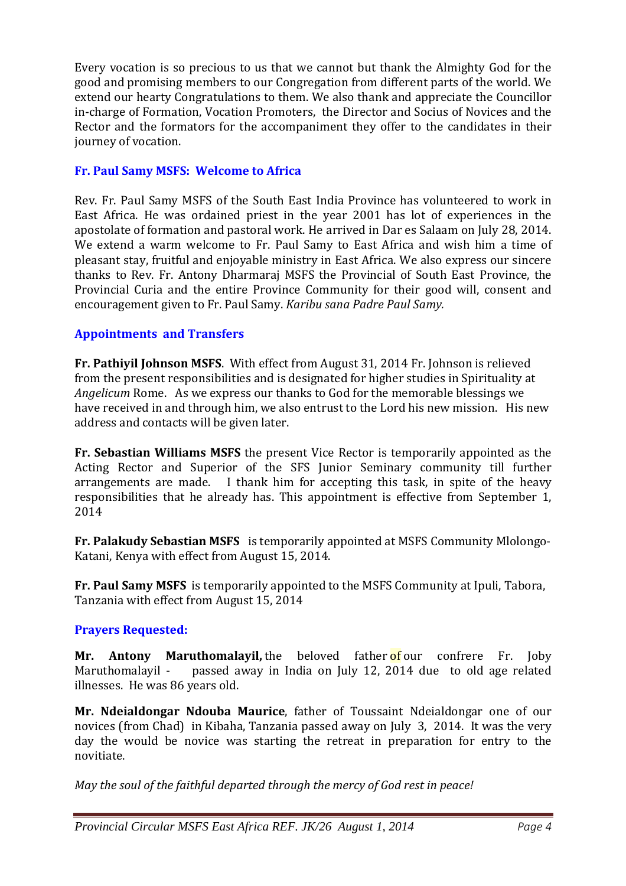Every vocation is so precious to us that we cannot but thank the Almighty God for the good and promising members to our Congregation from different parts of the world. We extend our hearty Congratulations to them. We also thank and appreciate the Councillor in-charge of Formation, Vocation Promoters, the Director and Socius of Novices and the Rector and the formators for the accompaniment they offer to the candidates in their journey of vocation.

## **Fr. Paul Samy MSFS: Welcome to Africa**

Rev. Fr. Paul Samy MSFS of the South East India Province has volunteered to work in East Africa. He was ordained priest in the year 2001 has lot of experiences in the apostolate of formation and pastoral work. He arrived in Dar es Salaam on July 28, 2014. We extend a warm welcome to Fr. Paul Samy to East Africa and wish him a time of pleasant stay, fruitful and enjoyable ministry in East Africa. We also express our sincere thanks to Rev. Fr. Antony Dharmaraj MSFS the Provincial of South East Province, the Provincial Curia and the entire Province Community for their good will, consent and encouragement given to Fr. Paul Samy. *Karibu sana Padre Paul Samy.* 

## **Appointments and Transfers**

**Fr. Pathiyil Johnson MSFS**. With effect from August 31, 2014 Fr. Johnson is relieved from the present responsibilities and is designated for higher studies in Spirituality at *Angelicum* Rome. As we express our thanks to God for the memorable blessings we have received in and through him, we also entrust to the Lord his new mission. His new address and contacts will be given later.

**Fr. Sebastian Williams MSFS** the present Vice Rector is temporarily appointed as the Acting Rector and Superior of the SFS Junior Seminary community till further arrangements are made. I thank him for accepting this task, in spite of the heavy responsibilities that he already has. This appointment is effective from September 1, 2014

**Fr. Palakudy Sebastian MSFS** is temporarily appointed at MSFS Community Mlolongo-Katani, Kenya with effect from August 15, 2014.

**Fr. Paul Samy MSFS** is temporarily appointed to the MSFS Community at Ipuli, Tabora, Tanzania with effect from August 15, 2014

## **Prayers Requested:**

**Mr. Antony Maruthomalayil,** the beloved father of our confrere Fr. Joby Maruthomalayil - passed away in India on July 12, 2014 due to old age related illnesses. He was 86 years old.

**Mr. Ndeialdongar Ndouba Maurice**, father of Toussaint Ndeialdongar one of our novices (from Chad) in Kibaha, Tanzania passed away on July 3, 2014. It was the very day the would be novice was starting the retreat in preparation for entry to the novitiate.

*May the soul of the faithful departed through the mercy of God rest in peace!*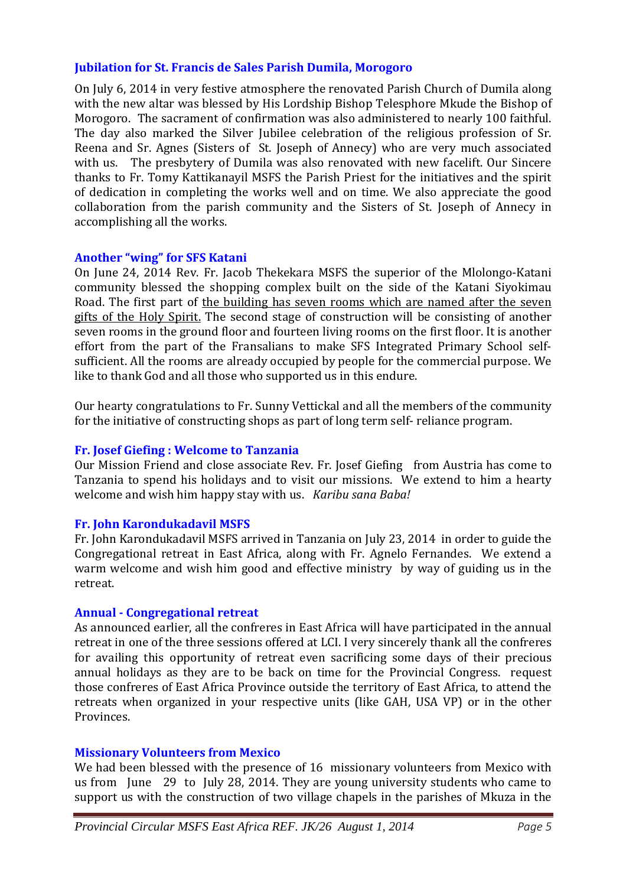## **Jubilation for St. Francis de Sales Parish Dumila, Morogoro**

On July 6, 2014 in very festive atmosphere the renovated Parish Church of Dumila along with the new altar was blessed by His Lordship Bishop Telesphore Mkude the Bishop of Morogoro. The sacrament of confirmation was also administered to nearly 100 faithful. The day also marked the Silver Jubilee celebration of the religious profession of Sr. Reena and Sr. Agnes (Sisters of St. Joseph of Annecy) who are very much associated with us. The presbytery of Dumila was also renovated with new facelift. Our Sincere thanks to Fr. Tomy Kattikanayil MSFS the Parish Priest for the initiatives and the spirit of dedication in completing the works well and on time. We also appreciate the good collaboration from the parish community and the Sisters of St. Joseph of Annecy in accomplishing all the works.

## **Another "wing" for SFS Katani**

On June 24, 2014 Rev. Fr. Jacob Thekekara MSFS the superior of the Mlolongo-Katani community blessed the shopping complex built on the side of the Katani Siyokimau Road. The first part of the building has seven rooms which are named after the seven gifts of the Holy Spirit. The second stage of construction will be consisting of another seven rooms in the ground floor and fourteen living rooms on the first floor. It is another effort from the part of the Fransalians to make SFS Integrated Primary School selfsufficient. All the rooms are already occupied by people for the commercial purpose. We like to thank God and all those who supported us in this endure.

Our hearty congratulations to Fr. Sunny Vettickal and all the members of the community for the initiative of constructing shops as part of long term self- reliance program.

## **Fr. Josef Giefing : Welcome to Tanzania**

Our Mission Friend and close associate Rev. Fr. Josef Giefing from Austria has come to Tanzania to spend his holidays and to visit our missions. We extend to him a hearty welcome and wish him happy stay with us. *Karibu sana Baba!*

## **Fr. John Karondukadavil MSFS**

Fr. John Karondukadavil MSFS arrived in Tanzania on July 23, 2014 in order to guide the Congregational retreat in East Africa, along with Fr. Agnelo Fernandes. We extend a warm welcome and wish him good and effective ministry by way of guiding us in the retreat.

#### **Annual - Congregational retreat**

As announced earlier, all the confreres in East Africa will have participated in the annual retreat in one of the three sessions offered at LCI. I very sincerely thank all the confreres for availing this opportunity of retreat even sacrificing some days of their precious annual holidays as they are to be back on time for the Provincial Congress. request those confreres of East Africa Province outside the territory of East Africa, to attend the retreats when organized in your respective units (like GAH, USA VP) or in the other Provinces.

#### **Missionary Volunteers from Mexico**

We had been blessed with the presence of 16 missionary volunteers from Mexico with us from June 29 to July 28, 2014. They are young university students who came to support us with the construction of two village chapels in the parishes of Mkuza in the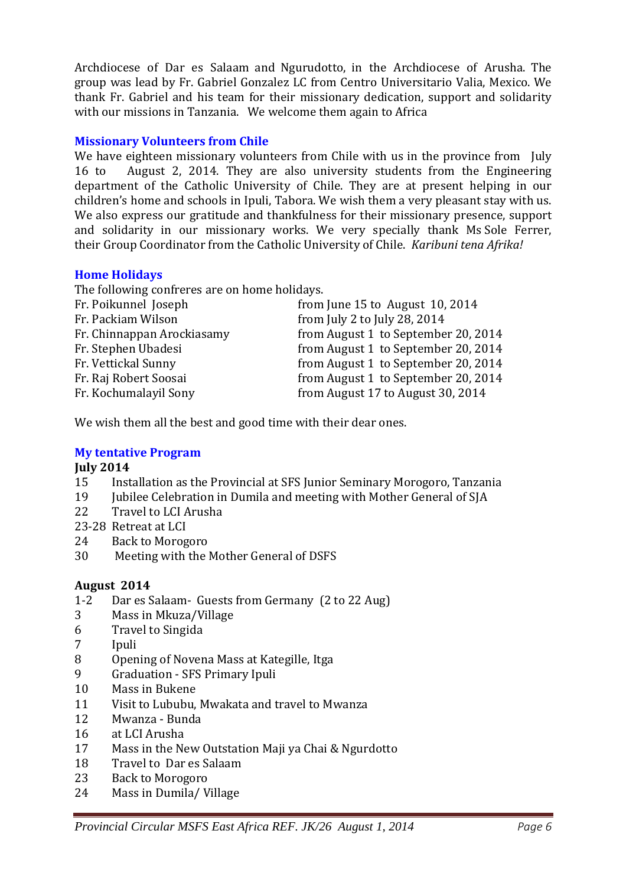Archdiocese of Dar es Salaam and Ngurudotto, in the Archdiocese of Arusha. The group was lead by Fr. Gabriel Gonzalez LC from Centro Universitario Valia, Mexico. We thank Fr. Gabriel and his team for their missionary dedication, support and solidarity with our missions in Tanzania. We welcome them again to Africa

## **Missionary Volunteers from Chile**

We have eighteen missionary volunteers from Chile with us in the province from July 16 to August 2, 2014. They are also university students from the Engineering department of the Catholic University of Chile. They are at present helping in our children's home and schools in Ipuli, Tabora. We wish them a very pleasant stay with us. We also express our gratitude and thankfulness for their missionary presence, support and solidarity in our missionary works. We very specially thank Ms Sole Ferrer, their Group Coordinator from the Catholic University of Chile. *Karibuni tena Afrika!*

## **Home Holidays**

The following confreres are on home holidays.

| Fr. Poikunnel Joseph       | from June 15 to August $10, 2014$   |
|----------------------------|-------------------------------------|
| Fr. Packiam Wilson         | from July 2 to July 28, 2014        |
| Fr. Chinnappan Arockiasamy | from August 1 to September 20, 2014 |
| Fr. Stephen Ubadesi        | from August 1 to September 20, 2014 |
| Fr. Vettickal Sunny        | from August 1 to September 20, 2014 |
| Fr. Raj Robert Soosai      | from August 1 to September 20, 2014 |
| Fr. Kochumalayil Sony      | from August 17 to August 30, 2014   |
|                            |                                     |

We wish them all the best and good time with their dear ones.

## **My tentative Program**

## **July 2014**

- 15 Installation as the Provincial at SFS Junior Seminary Morogoro, Tanzania
- 19 Jubilee Celebration in Dumila and meeting with Mother General of SJA
- 22 Travel to LCI Arusha
- 23-28 Retreat at LCI
- 24 Back to Morogoro
- 30 Meeting with the Mother General of DSFS

## **August 2014**

- 1-2 Dar es Salaam- Guests from Germany (2 to 22 Aug)
- 3 Mass in Mkuza/Village
- 6 Travel to Singida
- 7 Ipuli
- 8 Opening of Novena Mass at Kategille, Itga
- 9 Graduation SFS Primary Ipuli
- 10 Mass in Bukene
- 11 Visit to Lububu, Mwakata and travel to Mwanza
- 12 Mwanza Bunda
- 16 at LCI Arusha
- 17 Mass in the New Outstation Maji ya Chai & Ngurdotto
- 18 Travel to Dar es Salaam
- 23 Back to Morogoro
- 24 Mass in Dumila/ Village